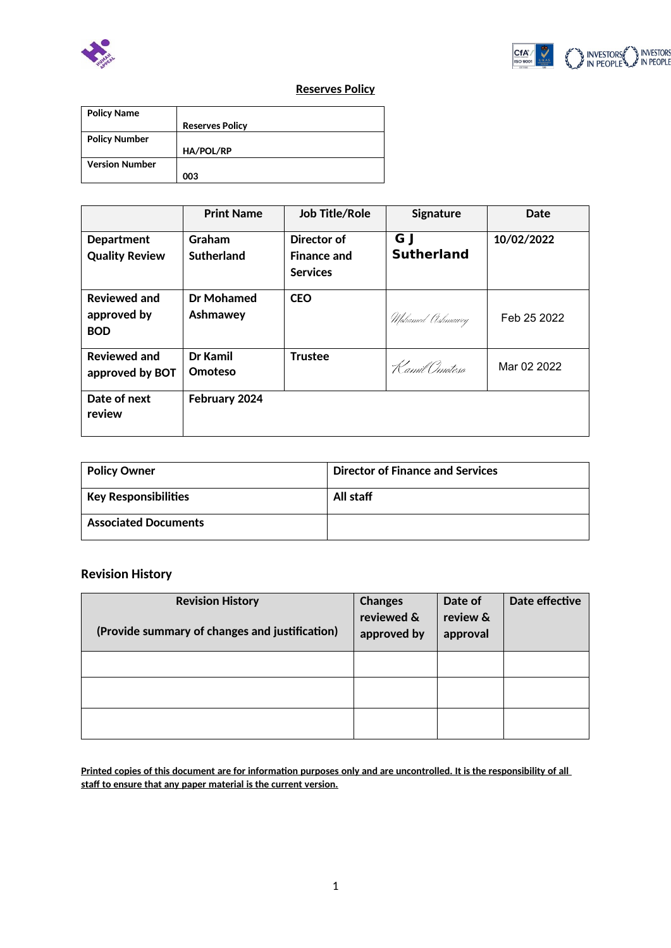



# **Reserves Policy**

| <b>Policy Name</b>    |                        |
|-----------------------|------------------------|
|                       | <b>Reserves Policy</b> |
| <b>Policy Number</b>  |                        |
|                       | <b>HA/POL/RP</b>       |
| <b>Version Number</b> |                        |
|                       | 003                    |

|                                                  | <b>Print Name</b>      | <b>Job Title/Role</b>                                | Signature                | Date        |
|--------------------------------------------------|------------------------|------------------------------------------------------|--------------------------|-------------|
| <b>Department</b><br><b>Quality Review</b>       | Graham<br>Sutherland   | Director of<br><b>Finance and</b><br><b>Services</b> | G J<br><b>Sutherland</b> | 10/02/2022  |
| <b>Reviewed and</b><br>approved by<br><b>BOD</b> | Dr Mohamed<br>Ashmawey | <b>CEO</b>                                           | Mohamed Ashmawey         | Feb 25 2022 |
| <b>Reviewed and</b><br>approved by BOT           | Dr Kamil<br>Omoteso    | <b>Trustee</b>                                       | Kamil Omoteso            | Mar 02 2022 |
| Date of next<br>review                           | February 2024          |                                                      |                          |             |

| <b>Policy Owner</b>                  | <b>Director of Finance and Services</b> |
|--------------------------------------|-----------------------------------------|
| $^{\mathrm{!}}$ Key Responsibilities | All staff                               |
| <b>Associated Documents</b>          |                                         |

# **Revision History**

| <b>Revision History</b><br>(Provide summary of changes and justification) | <b>Changes</b><br>reviewed &<br>approved by | Date of<br>review &<br>approval | Date effective |
|---------------------------------------------------------------------------|---------------------------------------------|---------------------------------|----------------|
|                                                                           |                                             |                                 |                |
|                                                                           |                                             |                                 |                |
|                                                                           |                                             |                                 |                |

**Printed copies of this document are for information purposes only and are uncontrolled. It is the responsibility of all staff to ensure that any paper material is the current version.**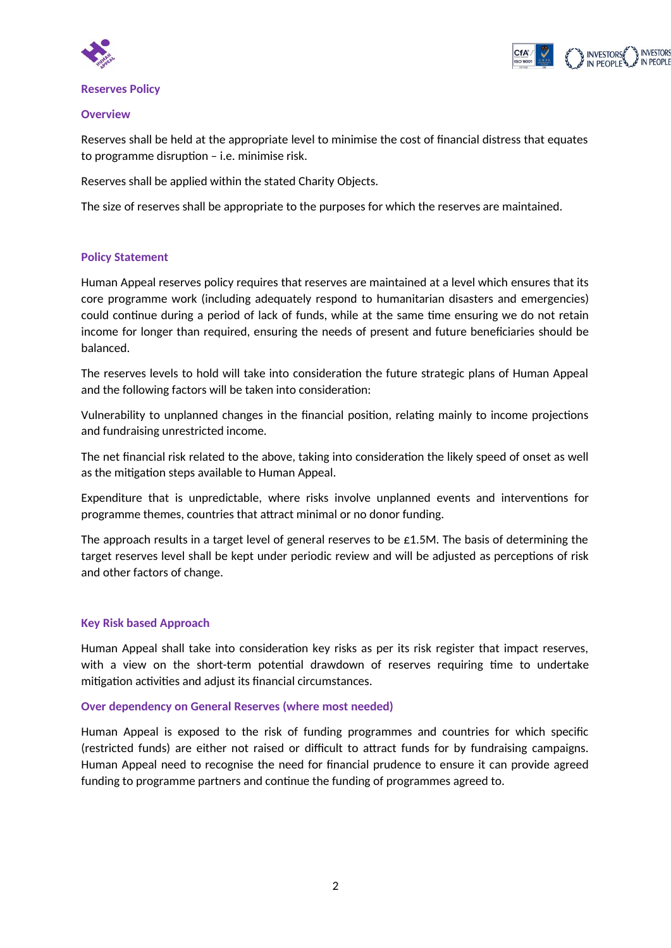



#### **Reserves Policy**

#### **Overview**

Reserves shall be held at the appropriate level to minimise the cost of financial distress that equates to programme disruption – i.e. minimise risk.

Reserves shall be applied within the stated Charity Objects.

The size of reserves shall be appropriate to the purposes for which the reserves are maintained.

# **Policy Statement**

Human Appeal reserves policy requires that reserves are maintained at a level which ensures that its core programme work (including adequately respond to humanitarian disasters and emergencies) could continue during a period of lack of funds, while at the same time ensuring we do not retain income for longer than required, ensuring the needs of present and future beneficiaries should be balanced.

The reserves levels to hold will take into consideration the future strategic plans of Human Appeal and the following factors will be taken into consideration:

Vulnerability to unplanned changes in the financial position, relating mainly to income projections and fundraising unrestricted income.

The net financial risk related to the above, taking into consideration the likely speed of onset as well as the mitigation steps available to Human Appeal.

Expenditure that is unpredictable, where risks involve unplanned events and interventions for programme themes, countries that attract minimal or no donor funding.

The approach results in a target level of general reserves to be £1.5M. The basis of determining the target reserves level shall be kept under periodic review and will be adjusted as perceptions of risk and other factors of change.

#### **Key Risk based Approach**

Human Appeal shall take into consideration key risks as per its risk register that impact reserves, with a view on the short-term potential drawdown of reserves requiring time to undertake mitigation activities and adjust its financial circumstances.

#### **Over dependency on General Reserves (where most needed)**

Human Appeal is exposed to the risk of funding programmes and countries for which specific (restricted funds) are either not raised or difficult to attract funds for by fundraising campaigns. Human Appeal need to recognise the need for financial prudence to ensure it can provide agreed funding to programme partners and continue the funding of programmes agreed to.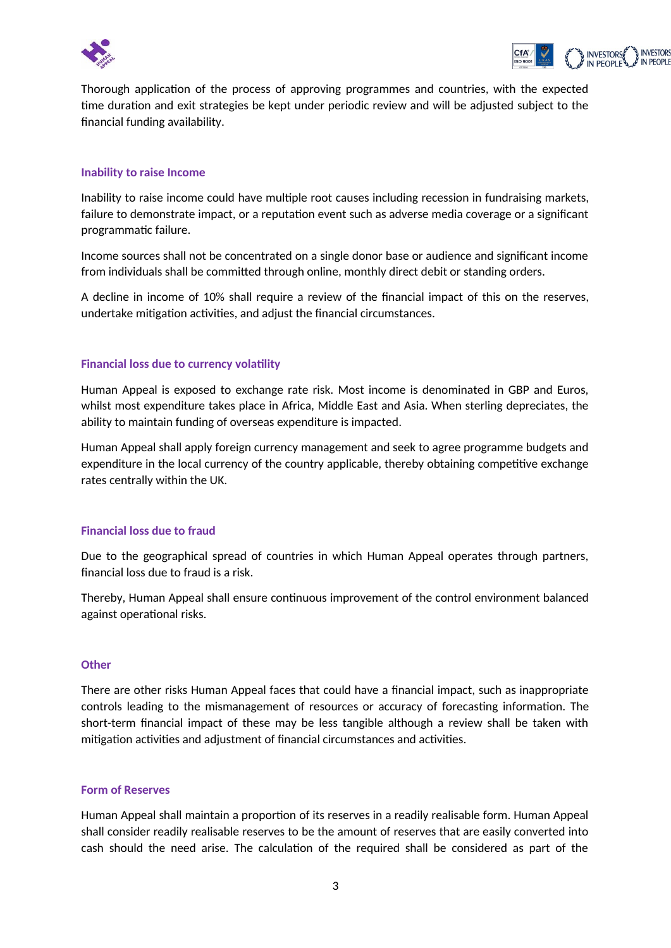



Thorough application of the process of approving programmes and countries, with the expected time duration and exit strategies be kept under periodic review and will be adjusted subject to the financial funding availability.

### **Inability to raise Income**

Inability to raise income could have multiple root causes including recession in fundraising markets, failure to demonstrate impact, or a reputation event such as adverse media coverage or a significant programmatic failure.

Income sources shall not be concentrated on a single donor base or audience and significant income from individuals shall be committed through online, monthly direct debit or standing orders.

A decline in income of 10% shall require a review of the financial impact of this on the reserves, undertake mitigation activities, and adjust the financial circumstances.

# **Financial loss due to currency volatility**

Human Appeal is exposed to exchange rate risk. Most income is denominated in GBP and Euros, whilst most expenditure takes place in Africa, Middle East and Asia. When sterling depreciates, the ability to maintain funding of overseas expenditure is impacted.

Human Appeal shall apply foreign currency management and seek to agree programme budgets and expenditure in the local currency of the country applicable, thereby obtaining competitive exchange rates centrally within the UK.

#### **Financial loss due to fraud**

Due to the geographical spread of countries in which Human Appeal operates through partners, financial loss due to fraud is a risk.

Thereby, Human Appeal shall ensure continuous improvement of the control environment balanced against operational risks.

#### **Other**

There are other risks Human Appeal faces that could have a financial impact, such as inappropriate controls leading to the mismanagement of resources or accuracy of forecasting information. The short-term financial impact of these may be less tangible although a review shall be taken with mitigation activities and adjustment of financial circumstances and activities.

#### **Form of Reserves**

Human Appeal shall maintain a proportion of its reserves in a readily realisable form. Human Appeal shall consider readily realisable reserves to be the amount of reserves that are easily converted into cash should the need arise. The calculation of the required shall be considered as part of the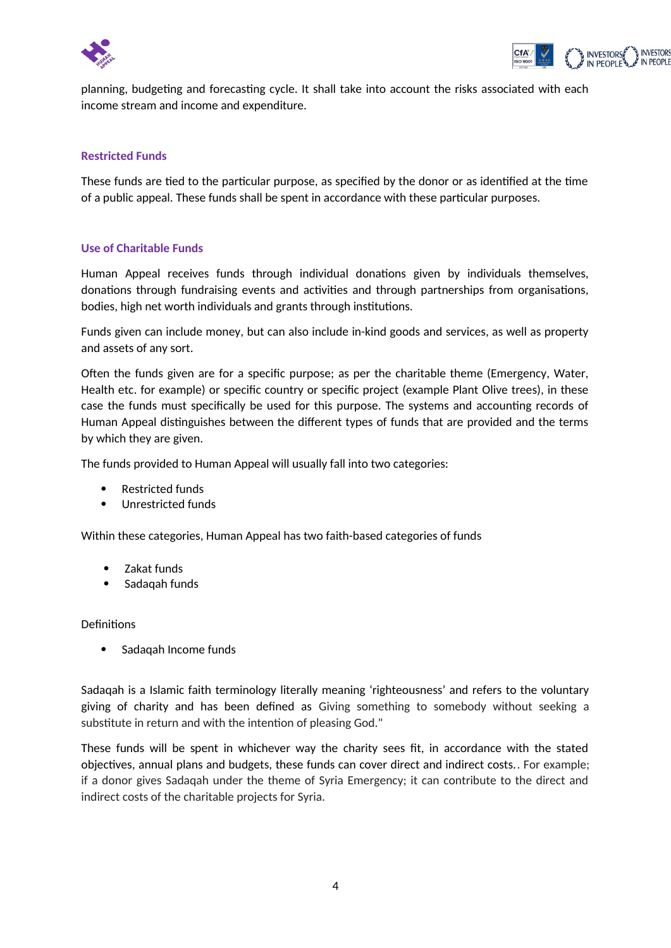



planning, budgeting and forecasting cycle. It shall take into account the risks associated with each income stream and income and expenditure.

### **Restricted Funds**

These funds are tied to the particular purpose, as specified by the donor or as identified at the time of a public appeal. These funds shall be spent in accordance with these particular purposes.

#### **Use of Charitable Funds**

Human Appeal receives funds through individual donations given by individuals themselves, donations through fundraising events and activities and through partnerships from organisations, bodies, high net worth individuals and grants through institutions.

Funds given can include money, but can also include in-kind goods and services, as well as property and assets of any sort.

Often the funds given are for a specific purpose; as per the charitable theme (Emergency, Water, Health etc. for example) or specific country or specific project (example Plant Olive trees), in these case the funds must specifically be used for this purpose. The systems and accounting records of Human Appeal distinguishes between the different types of funds that are provided and the terms by which they are given.

The funds provided to Human Appeal will usually fall into two categories:

- Restricted funds
- Unrestricted funds

Within these categories, Human Appeal has two faith-based categories of funds

- Zakat funds
- Sadaqah funds

#### Definitions

Sadaqah Income funds

Sadaqah is a Islamic faith terminology literally meaning 'righteousness' and refers to the voluntary giving of charity and has been defined as Giving something to somebody without seeking a substitute in return and with the intention of pleasing God."

These funds will be spent in whichever way the charity sees fit, in accordance with the stated objectives, annual plans and budgets, these funds can cover direct and indirect costs.. For example; if a donor gives Sadaqah under the theme of Syria Emergency; it can contribute to the direct and indirect costs of the charitable projects for Syria.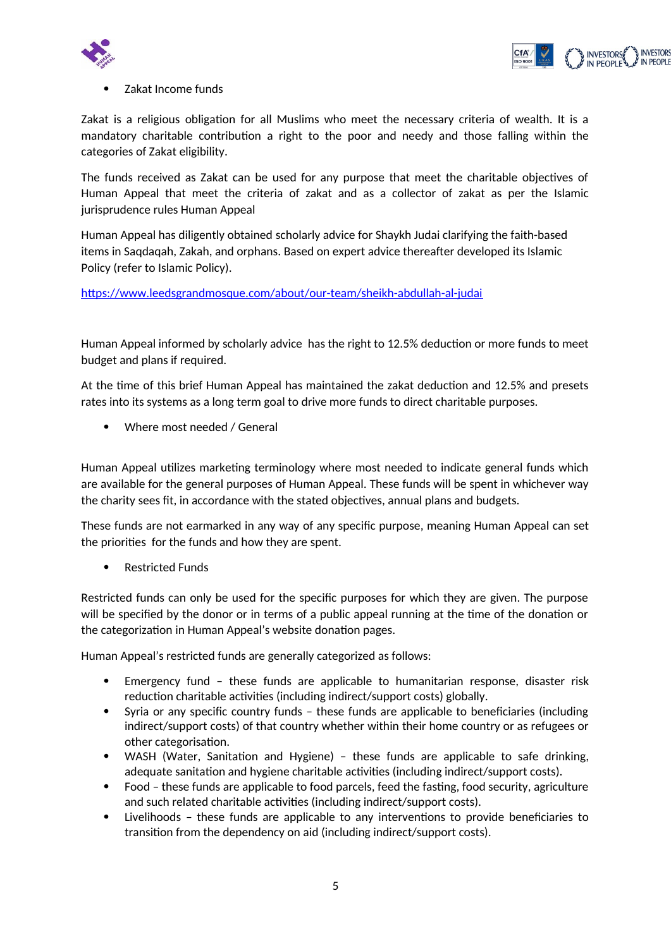



Zakat Income funds

Zakat is a religious obligation for all Muslims who meet the necessary criteria of wealth. It is a mandatory charitable contribution a right to the poor and needy and those falling within the categories of Zakat eligibility.

The funds received as Zakat can be used for any purpose that meet the charitable objectives of Human Appeal that meet the criteria of zakat and as a collector of zakat as per the Islamic jurisprudence rules Human Appeal

Human Appeal has diligently obtained scholarly advice for Shaykh Judai clarifying the faith-based items in Saqdaqah, Zakah, and orphans. Based on expert advice thereafter developed its Islamic Policy (refer to Islamic Policy).

https://www.leedsgrandmosque.com/about/our-team/sheikh-abdullah-al-judai

Human Appeal informed by scholarly advice has the right to 12.5% deduction or more funds to meet budget and plans if required.

At the time of this brief Human Appeal has maintained the zakat deduction and 12.5% and presets rates into its systems as a long term goal to drive more funds to direct charitable purposes.

Where most needed / General

Human Appeal utilizes marketing terminology where most needed to indicate general funds which are available for the general purposes of Human Appeal. These funds will be spent in whichever way the charity sees fit, in accordance with the stated objectives, annual plans and budgets.

These funds are not earmarked in any way of any specific purpose, meaning Human Appeal can set the priorities for the funds and how they are spent.

Restricted Funds

Restricted funds can only be used for the specific purposes for which they are given. The purpose will be specified by the donor or in terms of a public appeal running at the time of the donation or the categorization in Human Appeal's website donation pages.

Human Appeal's restricted funds are generally categorized as follows:

- Emergency fund these funds are applicable to humanitarian response, disaster risk reduction charitable activities (including indirect/support costs) globally.
- Syria or any specific country funds these funds are applicable to beneficiaries (including indirect/support costs) of that country whether within their home country or as refugees or other categorisation.
- WASH (Water, Sanitation and Hygiene) these funds are applicable to safe drinking, adequate sanitation and hygiene charitable activities (including indirect/support costs).
- Food these funds are applicable to food parcels, feed the fasting, food security, agriculture and such related charitable activities (including indirect/support costs).
- Livelihoods these funds are applicable to any interventions to provide beneficiaries to transition from the dependency on aid (including indirect/support costs).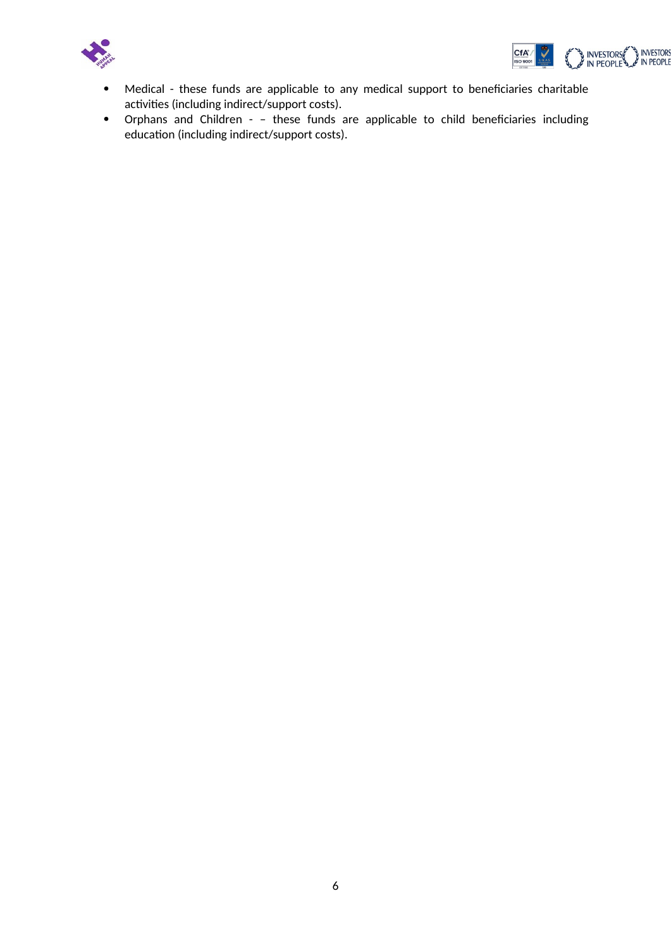



- Medical these funds are applicable to any medical support to beneficiaries charitable activities (including indirect/support costs).
- Orphans and Children – these funds are applicable to child beneficiaries including education (including indirect/support costs).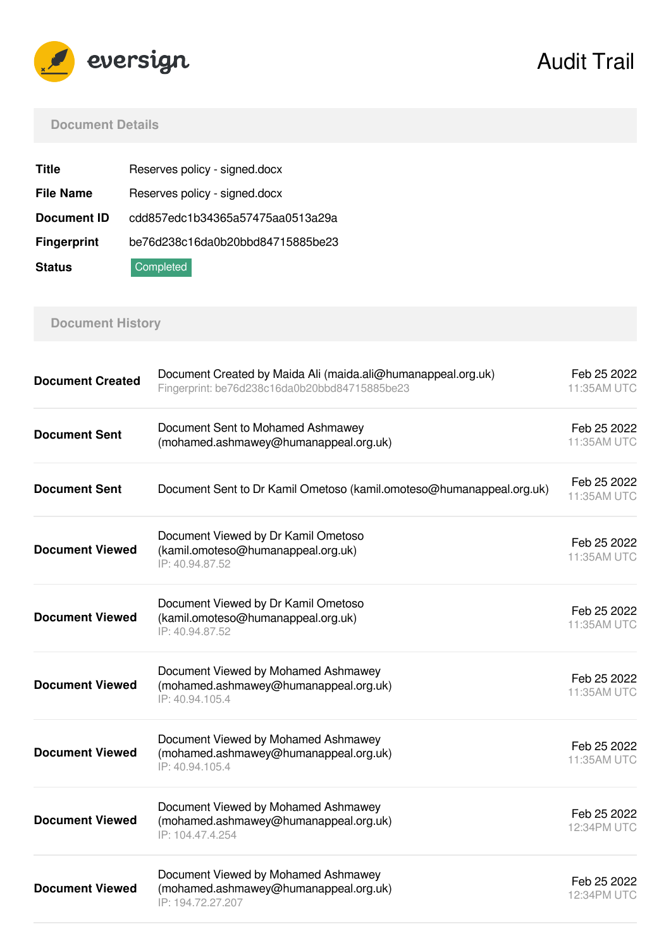

Audit Trail

# **Document Details**

| <b>Title</b>       | Reserves policy - signed.docx    |
|--------------------|----------------------------------|
| <b>File Name</b>   | Reserves policy - signed.docx    |
| <b>Document ID</b> | cdd857edc1b34365a57475aa0513a29a |
| <b>Fingerprint</b> | be76d238c16da0b20bbd84715885be23 |
| <b>Status</b>      | Completed                        |

# **Document History**

| <b>Document Created</b> | Document Created by Maida Ali (maida.ali@humanappeal.org.uk)<br>Fingerprint: be76d238c16da0b20bbd84715885be23 | Feb 25 2022<br>11:35AM UTC |
|-------------------------|---------------------------------------------------------------------------------------------------------------|----------------------------|
| <b>Document Sent</b>    | Document Sent to Mohamed Ashmawey<br>(mohamed.ashmawey@humanappeal.org.uk)                                    | Feb 25 2022<br>11:35AM UTC |
| <b>Document Sent</b>    | Document Sent to Dr Kamil Ometoso (kamil.omoteso@humanappeal.org.uk)                                          | Feb 25 2022<br>11:35AM UTC |
| <b>Document Viewed</b>  | Document Viewed by Dr Kamil Ometoso<br>(kamil.omoteso@humanappeal.org.uk)<br>IP: 40.94.87.52                  | Feb 25 2022<br>11:35AM UTC |
| <b>Document Viewed</b>  | Document Viewed by Dr Kamil Ometoso<br>(kamil.omoteso@humanappeal.org.uk)<br>IP: 40.94.87.52                  | Feb 25 2022<br>11:35AM UTC |
| <b>Document Viewed</b>  | Document Viewed by Mohamed Ashmawey<br>(mohamed.ashmawey@humanappeal.org.uk)<br>IP: 40.94.105.4               | Feb 25 2022<br>11:35AM UTC |
| <b>Document Viewed</b>  | Document Viewed by Mohamed Ashmawey<br>(mohamed.ashmawey@humanappeal.org.uk)<br>IP: 40.94.105.4               | Feb 25 2022<br>11:35AM UTC |
| <b>Document Viewed</b>  | Document Viewed by Mohamed Ashmawey<br>(mohamed.ashmawey@humanappeal.org.uk)<br>IP: 104.47.4.254              | Feb 25 2022<br>12:34PM UTC |
| <b>Document Viewed</b>  | Document Viewed by Mohamed Ashmawey<br>(mohamed.ashmawey@humanappeal.org.uk)<br>IP: 194.72.27.207             | Feb 25 2022<br>12:34PM UTC |